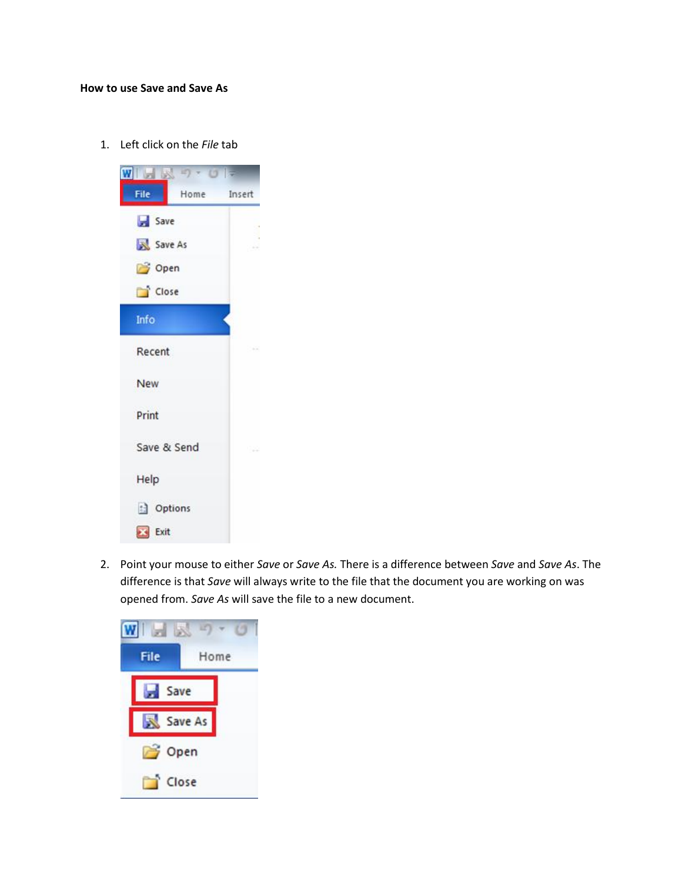## **How to use Save and Save As**

1. Left click on the *File* tab



2. Point your mouse to either *Save* or *Save As.* There is a difference between *Save* and *Save As*. The difference is that *Save* will always write to the file that the document you are working on was opened from. *Save As* will save the file to a new document.

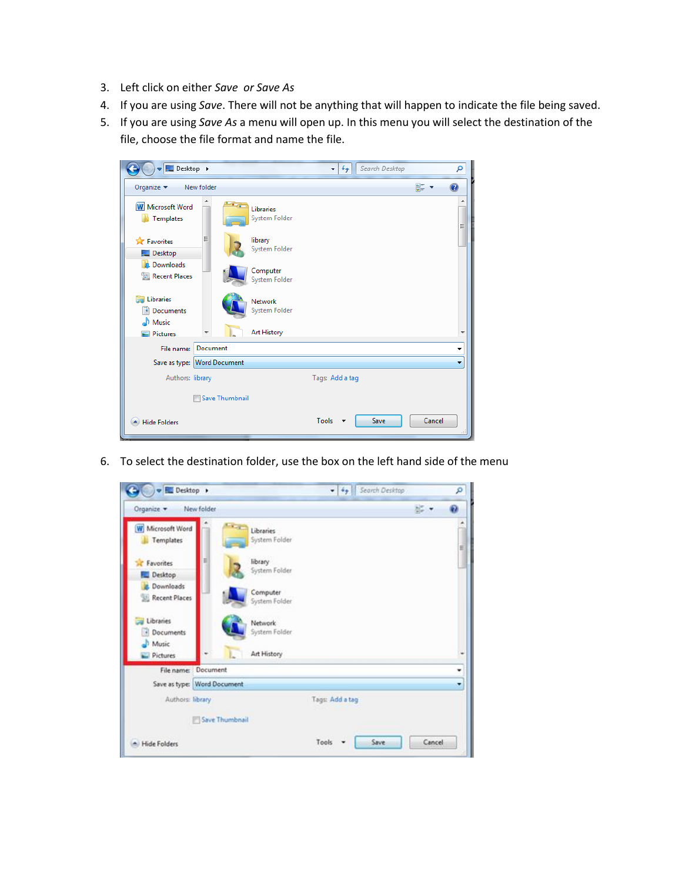- 3. Left click on either *Save or Save As*
- 4. If you are using *Save*. There will not be anything that will happen to indicate the file being saved.
- 5. If you are using *Save As* a menu will open up. In this menu you will select the destination of the file, choose the file format and name the file.

| Desktop >                              | Search Desktop<br>$4+$<br>÷     | م      |
|----------------------------------------|---------------------------------|--------|
| Organize $\blacktriangledown$          | New folder                      | 을      |
| <b>W</b> Microsoft Word<br>Templates   | Libraries<br>System Folder      | ▲<br>Ξ |
| <b>TA</b> Favorites<br>Desktop         | Ξ<br>library<br>System Folder   |        |
| Downloads<br>lin.<br>Recent Places     | Computer<br>System Folder       |        |
| <b>Libraries</b><br>Documents<br>Music | <b>Network</b><br>System Folder |        |
| <b>Pictures</b>                        | <b>Art History</b>              | ٠      |
| File name:                             | Document                        | ▼      |
|                                        | Save as type: Word Document     | ٠      |
| Authors: library                       | Tags: Add a tag                 |        |
|                                        | Save Thumbnail                  |        |
| <b>Hide Folders</b>                    | Save<br>Tools                   | Cancel |

6. To select the destination folder, use the box on the left hand side of the menu

| Desktop >                            |                                        | Search Desktop<br>$-49$ | ٩                   |
|--------------------------------------|----------------------------------------|-------------------------|---------------------|
| Organize v                           | New folder                             |                         | $\frac{1}{2}$<br>Đ. |
| <b>W</b> Microsoft Word<br>Templates | $-1 - 1$<br>Libraries<br>System Folder |                         |                     |
| <b>Exercites</b><br>Desktop          | library<br>System Folder               |                         |                     |
| <b>P.</b> Downloads<br>Recent Places | Computer<br>System Folder              |                         |                     |
| Libraries<br>· Documents<br>Music    | Network<br>System Folder               |                         |                     |
| Pictures                             | L.<br>Art History                      |                         |                     |
|                                      | File name: Document                    |                         | ۰                   |
|                                      | Save as type: Word Document            |                         | ۰                   |
| Authors: library                     |                                        | Tags: Add a tag         |                     |
|                                      | Save Thumbnail                         |                         |                     |
|                                      |                                        | Save<br>Tools           | Cancel              |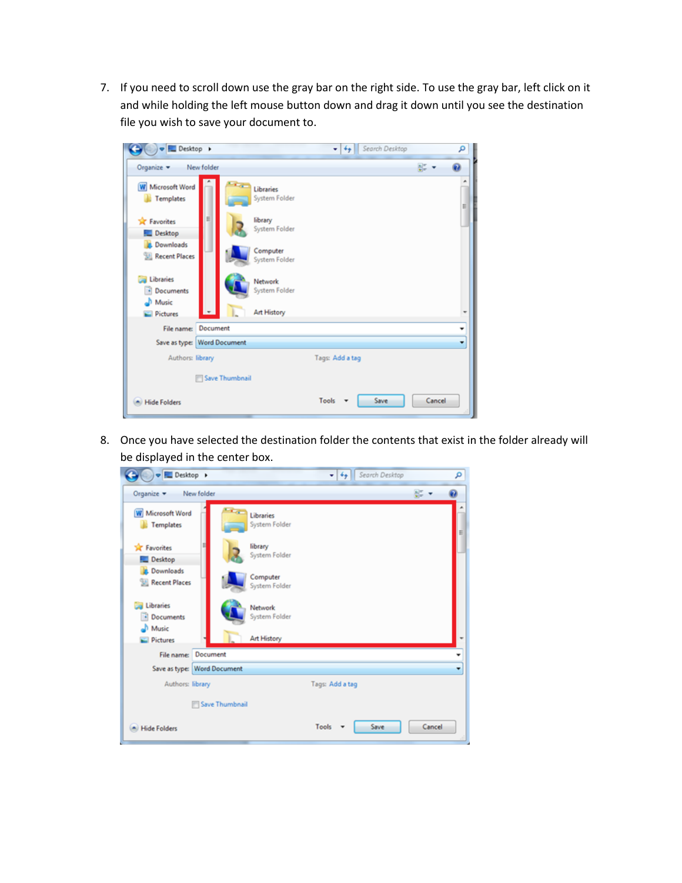7. If you need to scroll down use the gray bar on the right side. To use the gray bar, left click on it and while holding the left mouse button down and drag it down until you see the destination file you wish to save your document to.

| Desktop >                                       | Search Desktop<br>*   4+                       | م      |
|-------------------------------------------------|------------------------------------------------|--------|
| Organize v                                      | New folder                                     | g. .   |
| <b>W</b> Microsoft Word<br><b>Templates</b>     | m.<br>Libraries<br>System Folder               | ۸<br>E |
| <b>Sit</b> Favorites<br>Desktop                 | Ξ<br>library<br>System Folder                  |        |
| <b>Downloads</b><br><b>Recent Places</b>        | Computer<br>System Folder                      |        |
| <b>Libraries</b><br>• Documents<br><b>Nusic</b> | Network<br>System Folder                       |        |
| $=$ Pictures                                    | $\overline{\phantom{a}}$<br><b>Art History</b> |        |
| File name:                                      | Document                                       |        |
|                                                 | Save as type: Word Document                    | ٠      |
| Authors: library                                | Tags: Add a tag                                |        |
|                                                 | Save Thumbnail                                 |        |
| <b>Hide Folders</b>                             | Save<br>Tools                                  | Cancel |

8. Once you have selected the destination folder the contents that exist in the folder already will be displayed in the center box.

| Desktop >                                   |                             |                            | ▼   4g          | Search Desktop | م      |
|---------------------------------------------|-----------------------------|----------------------------|-----------------|----------------|--------|
| Organize -                                  | New folder                  |                            |                 |                | 공 -    |
| <b>W</b> Microsoft Word<br><b>Templates</b> | <b>College</b>              | Libraries<br>System Folder |                 |                | E      |
| <b>Sit Favorites</b><br>Desktop             |                             | library<br>System Folder   |                 |                |        |
| <b>Downloads</b><br><b>M</b> Recent Places  |                             | Computer<br>System Folder  |                 |                |        |
| Libraries<br>Documents<br><b>Nusic</b>      |                             | Network<br>System Folder   |                 |                |        |
| <b>Pictures</b>                             |                             | <b>Art History</b>         |                 |                |        |
| File name:                                  | Document                    |                            |                 |                |        |
|                                             | Save as type: Word Document |                            |                 |                |        |
| Authors: library                            |                             |                            | Tags: Add a tag |                |        |
|                                             | Save Thumbnail              |                            |                 |                |        |
| <b>Hide Folders</b>                         |                             |                            | Tools           | Save           | Cancel |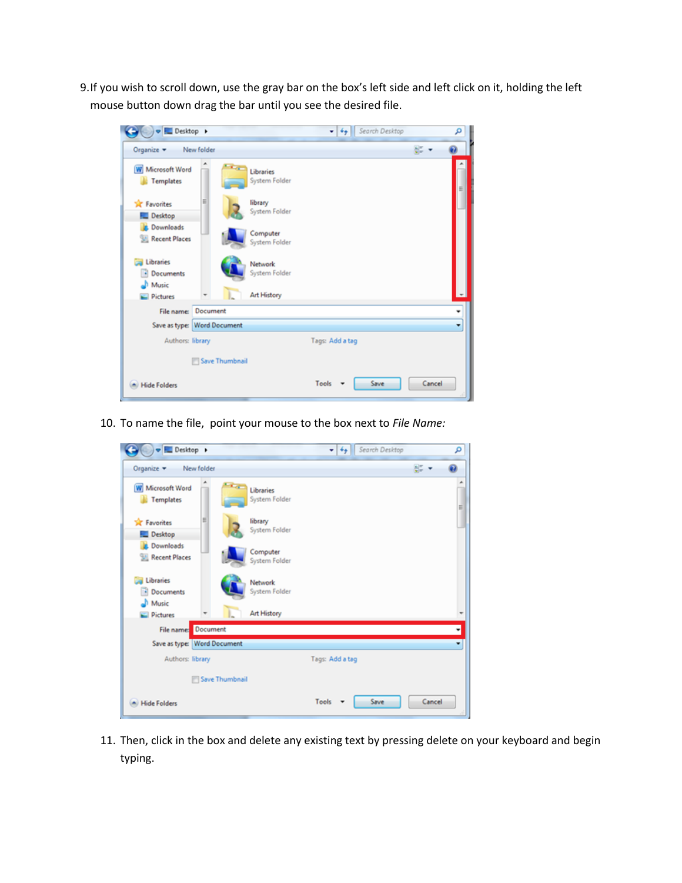9.If you wish to scroll down, use the gray bar on the box's left side and left click on it, holding the left mouse button down drag the bar until you see the desired file.

| Desktop >                                   | Search Desktop<br>$-14 +$                 |        | م |
|---------------------------------------------|-------------------------------------------|--------|---|
| Organize v                                  | New folder                                | 공 -    |   |
| <b>W</b> Microsoft Word<br><b>Templates</b> | <b>Card</b><br>Libraries<br>System Folder |        | Ε |
| <b>Sir</b> Favorites<br>Desktop             | Е<br>library<br>System Folder             |        |   |
| <b>D</b> Downloads<br><b>Recent Places</b>  | Computer<br>System Folder                 |        |   |
| Libraries<br>- Documents<br>Music           | Network<br>System Folder                  |        |   |
| <b>Pictures</b>                             | <b>Art History</b>                        |        |   |
|                                             | File name: Document                       |        | ٠ |
|                                             | Save as type: Word Document               |        | ٠ |
| Authors: library                            | Tags: Add a tag                           |        |   |
|                                             | Save Thumbnail                            |        |   |
| <b>Hide Folders</b>                         | Save<br>Tools                             | Cancel |   |

10. To name the file, point your mouse to the box next to *File Name:*

| Desktop >                                   |                                                           | Search Desktop<br>$-14$ | م      |
|---------------------------------------------|-----------------------------------------------------------|-------------------------|--------|
| Organize -<br>New folder                    |                                                           | g: .                    |        |
| <b>W</b> Microsoft Word<br><b>Templates</b> | $\mathbf{r}_{\mathrm{max}}$<br>Libraries<br>System Folder |                         | ۸<br>E |
| Ξ<br><b>Sir</b> Favorites<br>Desktop        | library<br>System Folder                                  |                         |        |
| <b>Downloads</b><br><b>Recent Places</b>    | Computer<br>System Folder                                 |                         |        |
| Libraries<br>• Documents                    | Network<br>System Folder                                  |                         |        |
| <b>D</b> Music<br><b>Pictures</b>           | <b>Art History</b>                                        |                         |        |
| Document<br>File name:                      |                                                           |                         |        |
| Save as type: Word Document                 |                                                           |                         |        |
| Authors: library                            |                                                           | Tags: Add a tag         |        |
|                                             | Save Thumbnail                                            |                         |        |
| <b>Hide Folders</b>                         |                                                           | Save<br>Cancel<br>Tools |        |

11. Then, click in the box and delete any existing text by pressing delete on your keyboard and begin typing.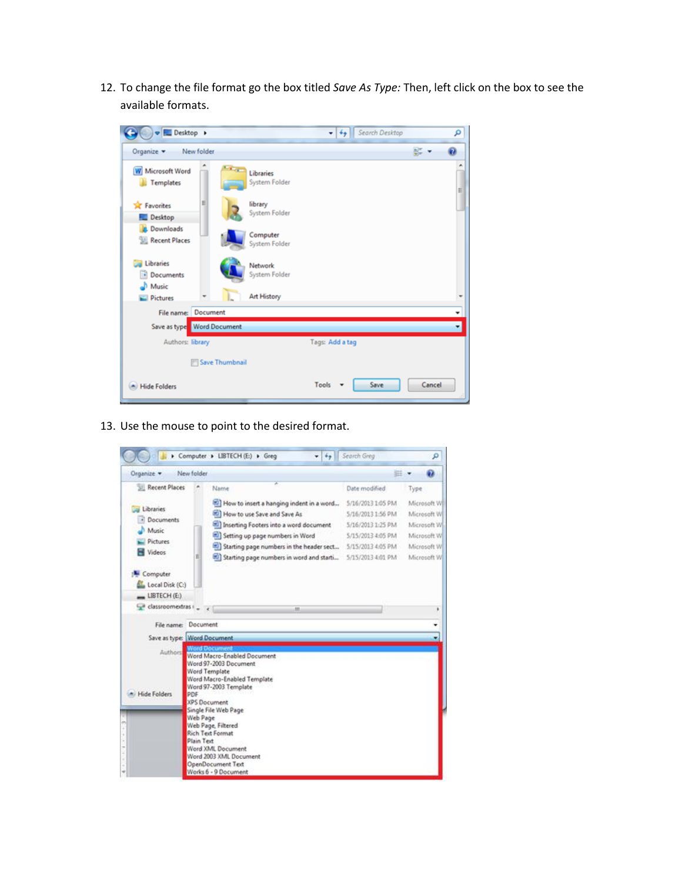12. To change the file format go the box titled *Save As Type:* Then, left click on the box to see the available formats.

| Desktop >                                   |                                          | Search Desktop<br>$-4$ | م      |
|---------------------------------------------|------------------------------------------|------------------------|--------|
| Organize -<br>New folder                    |                                          |                        | g: .   |
| <b>W</b> Microsoft Word<br><b>Templates</b> | <b>COL</b><br>Libraries<br>System Folder |                        | ۰<br>E |
| <b>Sit Favorites</b><br>Desktop             | Ξ<br>library<br>System Folder            |                        |        |
| <b>Downloads</b><br><b>Recent Places</b>    | Computer<br>System Folder                |                        |        |
| <b>Libraries</b><br>Documents               | Network<br>System Folder                 |                        |        |
| Music<br><b>Pictures</b>                    | <b>Art History</b><br>Ι.                 |                        |        |
| File name: Document                         |                                          |                        |        |
| Save as type Word Document                  |                                          |                        |        |
| Authors: library                            |                                          | Tags: Add a tag        |        |
|                                             | Save Thumbnail                           |                        |        |
| <b>Hide Folders</b>                         |                                          | Save<br>Tools          | Cancel |

13. Use the mouse to point to the desired format.